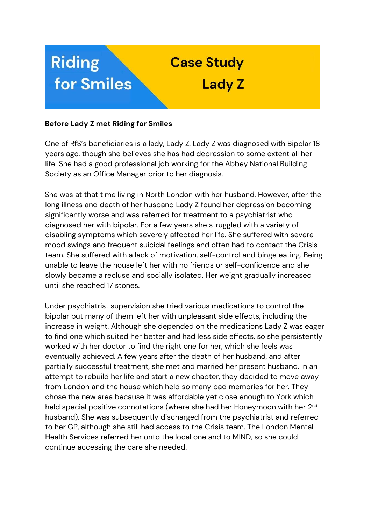

## **Before Lady Z met Riding for Smiles**

One of RfS's beneficiaries is a lady, Lady Z. Lady Z was diagnosed with Bipolar 18 years ago, though she believes she has had depression to some extent all her life. She had a good professional job working for the Abbey National Building Society as an Office Manager prior to her diagnosis.

She was at that time living in North London with her husband. However, after the long illness and death of her husband Lady Z found her depression becoming significantly worse and was referred for treatment to a psychiatrist who diagnosed her with bipolar. For a few years she struggled with a variety of disabling symptoms which severely affected her life. She suffered with severe mood swings and frequent suicidal feelings and often had to contact the Crisis team. She suffered with a lack of motivation, self-control and binge eating. Being unable to leave the house left her with no friends or self-confidence and she slowly became a recluse and socially isolated. Her weight gradually increased until she reached 17 stones.

Under psychiatrist supervision she tried various medications to control the bipolar but many of them left her with unpleasant side effects, including the increase in weight. Although she depended on the medications Lady Z was eager to find one which suited her better and had less side effects, so she persistently worked with her doctor to find the right one for her, which she feels was eventually achieved. A few years after the death of her husband, and after partially successful treatment, she met and married her present husband. In an attempt to rebuild her life and start a new chapter, they decided to move away from London and the house which held so many bad memories for her. They chose the new area because it was affordable yet close enough to York which held special positive connotations (where she had her Honeymoon with her 2<sup>nd</sup> husband). She was subsequently discharged from the psychiatrist and referred to her GP, although she still had access to the Crisis team. The London Mental Health Services referred her onto the local one and to MIND, so she could continue accessing the care she needed.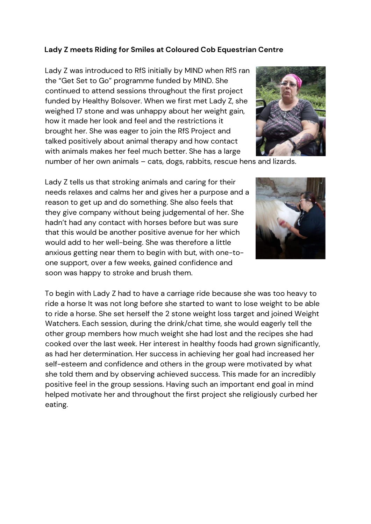## **Lady Z meets Riding for Smiles at Coloured Cob Equestrian Centre**

Lady Z was introduced to RfS initially by MIND when RfS ran the "Get Set to Go" programme funded by MIND. She continued to attend sessions throughout the first project funded by Healthy Bolsover. When we first met Lady Z, she weighed 17 stone and was unhappy about her weight gain, how it made her look and feel and the restrictions it brought her. She was eager to join the RfS Project and talked positively about animal therapy and how contact with animals makes her feel much better. She has a large



number of her own animals – cats, dogs, rabbits, rescue hens and lizards.

Lady Z tells us that stroking animals and caring for their needs relaxes and calms her and gives her a purpose and a reason to get up and do something. She also feels that they give company without being judgemental of her. She hadn't had any contact with horses before but was sure that this would be another positive avenue for her which would add to her well-being. She was therefore a little anxious getting near them to begin with but, with one-toone support, over a few weeks, gained confidence and soon was happy to stroke and brush them.



To begin with Lady Z had to have a carriage ride because she was too heavy to ride a horse It was not long before she started to want to lose weight to be able to ride a horse. She set herself the 2 stone weight loss target and joined Weight Watchers. Each session, during the drink/chat time, she would eagerly tell the other group members how much weight she had lost and the recipes she had cooked over the last week. Her interest in healthy foods had grown significantly, as had her determination. Her success in achieving her goal had increased her self-esteem and confidence and others in the group were motivated by what she told them and by observing achieved success. This made for an incredibly positive feel in the group sessions. Having such an important end goal in mind helped motivate her and throughout the first project she religiously curbed her eating.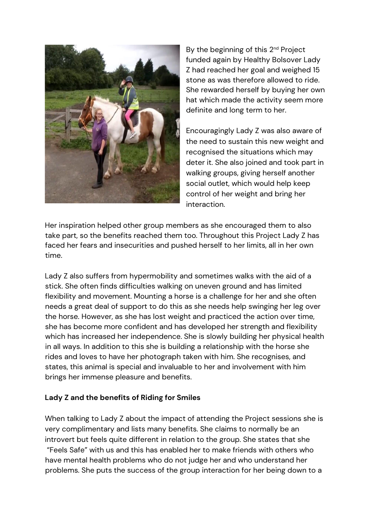

By the beginning of this 2<sup>nd</sup> Project funded again by Healthy Bolsover Lady Z had reached her goal and weighed 15 stone as was therefore allowed to ride. She rewarded herself by buying her own hat which made the activity seem more definite and long term to her.

Encouragingly Lady Z was also aware of the need to sustain this new weight and recognised the situations which may deter it. She also joined and took part in walking groups, giving herself another social outlet, which would help keep control of her weight and bring her interaction.

Her inspiration helped other group members as she encouraged them to also take part, so the benefits reached them too. Throughout this Project Lady Z has faced her fears and insecurities and pushed herself to her limits, all in her own time.

Lady Z also suffers from hypermobility and sometimes walks with the aid of a stick. She often finds difficulties walking on uneven ground and has limited flexibility and movement. Mounting a horse is a challenge for her and she often needs a great deal of support to do this as she needs help swinging her leg over the horse. However, as she has lost weight and practiced the action over time, she has become more confident and has developed her strength and flexibility which has increased her independence. She is slowly building her physical health in all ways. In addition to this she is building a relationship with the horse she rides and loves to have her photograph taken with him. She recognises, and states, this animal is special and invaluable to her and involvement with him brings her immense pleasure and benefits.

## **Lady Z and the benefits of Riding for Smiles**

When talking to Lady Z about the impact of attending the Project sessions she is very complimentary and lists many benefits. She claims to normally be an introvert but feels quite different in relation to the group. She states that she "Feels Safe" with us and this has enabled her to make friends with others who have mental health problems who do not judge her and who understand her problems. She puts the success of the group interaction for her being down to a